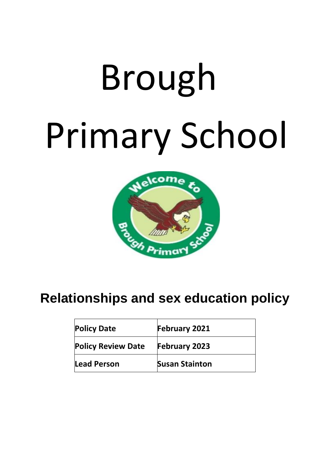# Brough Primary School



# **Relationships and sex education policy**

| <b>Policy Date</b>        | February 2021         |
|---------------------------|-----------------------|
| <b>Policy Review Date</b> | <b>February 2023</b>  |
| <b>Lead Person</b>        | <b>Susan Stainton</b> |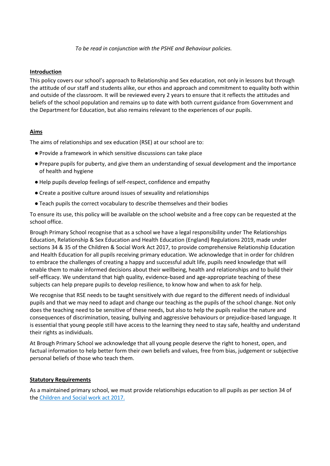*To be read in conjunction with the PSHE and Behaviour policies.*

#### **Introduction**

This policy covers our school's approach to Relationship and Sex education, not only in lessons but through the attitude of our staff and students alike, our ethos and approach and commitment to equality both within and outside of the classroom. It will be reviewed every 2 years to ensure that it reflects the attitudes and beliefs of the school population and remains up to date with both current guidance from Government and the Department for Education, but also remains relevant to the experiences of our pupils.

# **Aims**

The aims of relationships and sex education (RSE) at our school are to:

- Provide a framework in which sensitive discussions can take place
- Prepare pupils for puberty, and give them an understanding of sexual development and the importance of health and hygiene
- Help pupils develop feelings of self-respect, confidence and empathy
- Create a positive culture around issues of sexuality and relationships
- Teach pupils the correct vocabulary to describe themselves and their bodies

To ensure its use, this policy will be available on the school website and a free copy can be requested at the school office.

Brough Primary School recognise that as a school we have a legal responsibility under The Relationships Education, Relationship & Sex Education and Health Education (England) Regulations 2019, made under sections 34 & 35 of the Children & Social Work Act 2017, to provide comprehensive Relationship Education and Health Education for all pupils receiving primary education. We acknowledge that in order for children to embrace the challenges of creating a happy and successful adult life, pupils need knowledge that will enable them to make informed decisions about their wellbeing, health and relationships and to build their self-efficacy. We understand that high quality, evidence-based and age-appropriate teaching of these subjects can help prepare pupils to develop resilience, to know how and when to ask for help.

We recognise that RSE needs to be taught sensitively with due regard to the different needs of individual pupils and that we may need to adapt and change our teaching as the pupils of the school change. Not only does the teaching need to be sensitive of these needs, but also to help the pupils realise the nature and consequences of discrimination, teasing, bullying and aggressive behaviours or prejudice-based language. It is essential that young people still have access to the learning they need to stay safe, healthy and understand their rights as individuals.

At Brough Primary School we acknowledge that all young people deserve the right to honest, open, and factual information to help better form their own beliefs and values, free from bias, judgement or subjective personal beliefs of those who teach them.

#### **Statutory Requirements**

As a maintained primary school, we must provide relationships education to all pupils as per section 34 of the [Children and Social work act 2017.](http://www.legislation.gov.uk/ukpga/2017/16/section/34/enacted)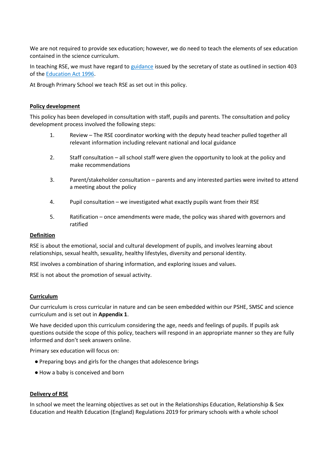We are not required to provide sex education; however, we do need to teach the elements of sex education contained in the science curriculum.

In teaching RSE, we must have regard to [guidance](https://www.gov.uk/government/consultations/relationships-and-sex-education-and-health-education) issued by the secretary of state as outlined in section 403 of the [Education Act 1996.](http://www.legislation.gov.uk/ukpga/1996/56/contents)

At Brough Primary School we teach RSE as set out in this policy.

#### **Policy development**

This policy has been developed in consultation with staff, pupils and parents. The consultation and policy development process involved the following steps:

- 1. Review The RSE coordinator working with the deputy head teacher pulled together all relevant information including relevant national and local guidance
- 2. Staff consultation all school staff were given the opportunity to look at the policy and make recommendations
- 3. Parent/stakeholder consultation parents and any interested parties were invited to attend a meeting about the policy
- 4. Pupil consultation we investigated what exactly pupils want from their RSE
- 5. Ratification once amendments were made, the policy was shared with governors and ratified

#### **Definition**

RSE is about the emotional, social and cultural development of pupils, and involves learning about relationships, sexual health, sexuality, healthy lifestyles, diversity and personal identity.

RSE involves a combination of sharing information, and exploring issues and values.

RSE is not about the promotion of sexual activity.

#### **Curriculum**

Our curriculum is cross curricular in nature and can be seen embedded within our PSHE, SMSC and science curriculum and is set out in **Appendix 1**.

We have decided upon this curriculum considering the age, needs and feelings of pupils. If pupils ask questions outside the scope of this policy, teachers will respond in an appropriate manner so they are fully informed and don't seek answers online.

Primary sex education will focus on:

- Preparing boys and girls for the changes that adolescence brings
- How a baby is conceived and born

#### **Delivery of RSE**

In school we meet the learning objectives as set out in the Relationships Education, Relationship & Sex Education and Health Education (England) Regulations 2019 for primary schools with a whole school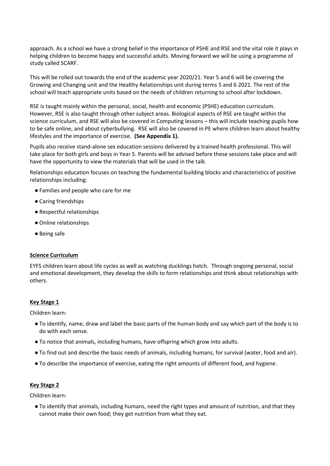approach. As a school we have a strong belief in the importance of PSHE and RSE and the vital role it plays in helping children to become happy and successful adults. Moving forward we will be using a programme of study called SCARF.

This will be rolled out towards the end of the academic year 2020/21. Year 5 and 6 will be covering the Growing and Changing unit and the Healthy Relationships unit during terms 5 and 6 2021. The rest of the school will teach appropriate units based on the needs of children returning to school after lockdown.

RSE is taught mainly within the personal, social, health and economic (PSHE) education curriculum. However, RSE is also taught through other subject areas. Biological aspects of RSE are taught within the science curriculum, and RSE will also be covered in Computing lessons – this will include teaching pupils how to be safe online, and about cyberbullying. RSE will also be covered in PE where children learn about healthy lifestyles and the importance of exercise. **(See Appendix 1).**

Pupils also receive stand-alone sex education sessions delivered by a trained health professional. This will take place for both girls and boys in Year 5. Parents will be advised before these sessions take place and will have the opportunity to view the materials that will be used in the talk.

Relationships education focuses on teaching the fundamental building blocks and characteristics of positive relationships including:

- Families and people who care for me
- Caring friendships
- Respectful relationships
- Online relationships
- Being safe

#### **Science Curriculum**

EYFS children learn about life cycles as well as watching ducklings hatch. Through ongoing personal, social and emotional development, they develop the skills to form relationships and think about relationships with others.

#### **Key Stage 1**

Children learn:

- To identify, name, draw and label the basic parts of the human body and say which part of the body is to do with each sense.
- To notice that animals, including humans, have offspring which grow into adults.
- To find out and describe the basic needs of animals, including humans, for survival (water, food and air).
- To describe the importance of exercise, eating the right amounts of different food, and hygiene.

# **Key Stage 2**

Children learn:

● To identify that animals, including humans, need the right types and amount of nutrition, and that they cannot make their own food; they get nutrition from what they eat.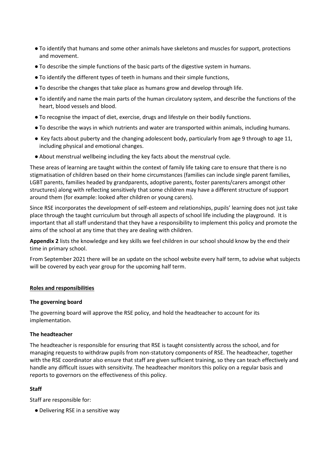- To identify that humans and some other animals have skeletons and muscles for support, protections and movement.
- To describe the simple functions of the basic parts of the digestive system in humans.
- To identify the different types of teeth in humans and their simple functions,
- To describe the changes that take place as humans grow and develop through life.
- To identify and name the main parts of the human circulatory system, and describe the functions of the heart, blood vessels and blood.
- To recognise the impact of diet, exercise, drugs and lifestyle on their bodily functions.
- To describe the ways in which nutrients and water are transported within animals, including humans.
- Key facts about puberty and the changing adolescent body, particularly from age 9 through to age 11, including physical and emotional changes.
- About menstrual wellbeing including the key facts about the menstrual cycle.

These areas of learning are taught within the context of family life taking care to ensure that there is no stigmatisation of children based on their home circumstances (families can include single parent families, LGBT parents, families headed by grandparents, adoptive parents, foster parents/carers amongst other structures) along with reflecting sensitively that some children may have a different structure of support around them (for example: looked after children or young carers).

Since RSE incorporates the development of self-esteem and relationships, pupils' learning does not just take place through the taught curriculum but through all aspects of school life including the playground. It is important that all staff understand that they have a responsibility to implement this policy and promote the aims of the school at any time that they are dealing with children.

**Appendix 2** lists the knowledge and key skills we feel children in our school should know by the end their time in primary school.

From September 2021 there will be an update on the school website every half term, to advise what subjects will be covered by each year group for the upcoming half term.

#### **Roles and responsibilities**

#### **The governing board**

The governing board will approve the RSE policy, and hold the headteacher to account for its implementation.

#### **The headteacher**

The headteacher is responsible for ensuring that RSE is taught consistently across the school, and for managing requests to withdraw pupils from non-statutory components of RSE. The headteacher, together with the RSE coordinator also ensure that staff are given sufficient training, so they can teach effectively and handle any difficult issues with sensitivity. The headteacher monitors this policy on a regular basis and reports to governors on the effectiveness of this policy.

# **Staff**

Staff are responsible for:

● Delivering RSE in a sensitive way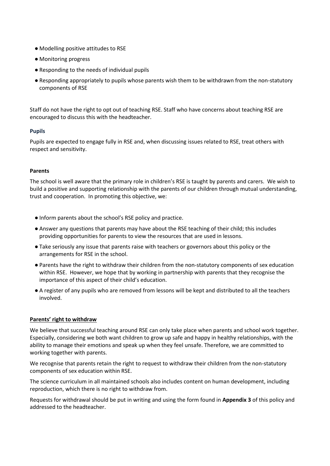- Modelling positive attitudes to RSE
- Monitoring progress
- Responding to the needs of individual pupils
- Responding appropriately to pupils whose parents wish them to be withdrawn from the non-statutory components of RSE

Staff do not have the right to opt out of teaching RSE. Staff who have concerns about teaching RSE are encouraged to discuss this with the headteacher.

# **Pupils**

Pupils are expected to engage fully in RSE and, when discussing issues related to RSE, treat others with respect and sensitivity.

# **Parents**

The school is well aware that the primary role in children's RSE is taught by parents and carers. We wish to build a positive and supporting relationship with the parents of our children through mutual understanding, trust and cooperation. In promoting this objective, we:

- Inform parents about the school's RSE policy and practice.
- Answer any questions that parents may have about the RSE teaching of their child; this includes providing opportunities for parents to view the resources that are used in lessons.
- Take seriously any issue that parents raise with teachers or governors about this policy or the arrangements for RSE in the school.
- Parents have the right to withdraw their children from the non-statutory components of sex education within RSE. However, we hope that by working in partnership with parents that they recognise the importance of this aspect of their child's education.
- A register of any pupils who are removed from lessons will be kept and distributed to all the teachers involved.

# **Parents' right to withdraw**

We believe that successful teaching around RSE can only take place when parents and school work together. Especially, considering we both want children to grow up safe and happy in healthy relationships, with the ability to manage their emotions and speak up when they feel unsafe. Therefore, we are committed to working together with parents.

We recognise that parents retain the right to request to withdraw their children from the non-statutory components of sex education within RSE.

The science curriculum in all maintained schools also includes content on human development, including reproduction, which there is no right to withdraw from.

Requests for withdrawal should be put in writing and using the form found in **Appendix 3** of this policy and addressed to the headteacher.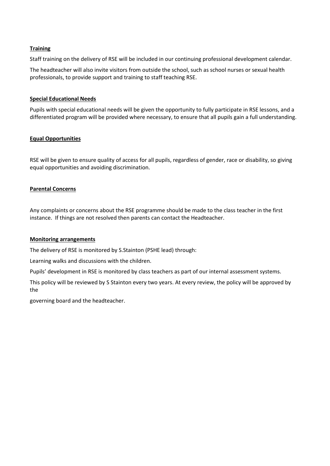# **Training**

Staff training on the delivery of RSE will be included in our continuing professional development calendar.

The headteacher will also invite visitors from outside the school, such as school nurses or sexual health professionals, to provide support and training to staff teaching RSE.

# **Special Educational Needs**

Pupils with special educational needs will be given the opportunity to fully participate in RSE lessons, and a differentiated program will be provided where necessary, to ensure that all pupils gain a full understanding.

# **Equal Opportunities**

RSE will be given to ensure quality of access for all pupils, regardless of gender, race or disability, so giving equal opportunities and avoiding discrimination.

# **Parental Concerns**

Any complaints or concerns about the RSE programme should be made to the class teacher in the first instance. If things are not resolved then parents can contact the Headteacher.

#### **Monitoring arrangements**

The delivery of RSE is monitored by S.Stainton (PSHE lead) through:

Learning walks and discussions with the children.

Pupils' development in RSE is monitored by class teachers as part of our internal assessment systems.

This policy will be reviewed by S Stainton every two years. At every review, the policy will be approved by the

governing board and the headteacher.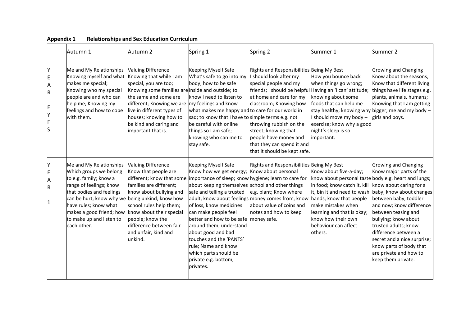|        | Autumn 1                                                                                                                                                                                                                                                                                                       | Autumn 2                                                                                                                                                                                                                                                             | Spring 1                                                                                                                                                                                                                                                                                                                                                                                                                                                                                                           | Spring 2                                                                                                                                                                                                                                                                                  | Summer 1                                                                                                                                                                                                                                                                                                                                   | Summer 2                                                                                                                                                                                                                                                                                                                                                                                         |
|--------|----------------------------------------------------------------------------------------------------------------------------------------------------------------------------------------------------------------------------------------------------------------------------------------------------------------|----------------------------------------------------------------------------------------------------------------------------------------------------------------------------------------------------------------------------------------------------------------------|--------------------------------------------------------------------------------------------------------------------------------------------------------------------------------------------------------------------------------------------------------------------------------------------------------------------------------------------------------------------------------------------------------------------------------------------------------------------------------------------------------------------|-------------------------------------------------------------------------------------------------------------------------------------------------------------------------------------------------------------------------------------------------------------------------------------------|--------------------------------------------------------------------------------------------------------------------------------------------------------------------------------------------------------------------------------------------------------------------------------------------------------------------------------------------|--------------------------------------------------------------------------------------------------------------------------------------------------------------------------------------------------------------------------------------------------------------------------------------------------------------------------------------------------------------------------------------------------|
| E<br>R | Me and My Relationships<br>Knowing myself and what Knowing that while I am<br>makes me special;<br>Knowing who my special<br>people are and who can<br>help me; Knowing my<br>feelings and how to cope<br>with them.                                                                                           | <b>Valuing Difference</b><br>special, you are too;<br>Knowing some families are inside and outside; to<br>the same and some are<br>different; Knowing we are<br>live in different types of<br>houses; knowing how to<br>be kind and caring and<br>important that is. | Keeping Myself Safe<br>What's safe to go into my<br>body; how to be safe<br>know I need to listen to<br>my feelings and know<br>what makes me happy and to care for our world in<br>sad; to know that I have to simple terms e.g. not<br>be careful with online<br>things so I am safe;<br>knowing who can me to<br>stay safe.                                                                                                                                                                                     | Rights and Responsibilities Being My Best<br>should look after my<br>special people and my<br>at home and care for my<br>classroom; Knowing how<br>throwing rubbish on the<br>street; knowing that<br>people have money and<br>that they can spend it and<br>that it should be kept safe. | How you bounce back<br>when things go wrong;<br>friends; I should be helpful Having an 'I can' attitude; things have life stages e.g.<br>knowing about some<br>foods that can help me<br>stay healthy; knowing why bigger; me and my body $-$<br>I should move my body -<br>exercise; know why a good<br>night's sleep is so<br>important. | Growing and Changing<br>Know about the seasons;<br>Know that different living<br>plants, animals, humans;<br>Knowing that I am getting<br>girls and boys.                                                                                                                                                                                                                                        |
| Α<br>R | Me and My Relationships<br>Which groups we belong<br>to e.g. family; know a<br>range of feelings; know<br>that bodies and feelings<br>can be hurt; know why we being unkind; know how<br>have rules; know what<br>makes a good friend; how know about their special<br>to make up and listen to<br>each other. | <b>Valuing Difference</b><br>Know that people are<br>different; know that some<br>families are different;<br>know about bullying and<br>school rules help them;<br>people; know the<br>difference between fair<br>and unfair, kind and<br>unkind.                    | Keeping Myself Safe<br>Know how we get energy; Know about personal<br>importance of sleep; know hygiene; learn to care for<br>about keeping themselves school and other things<br>safe and telling a trusted<br>adult; know about feelings money comes from; know<br>of loss, know medicines<br>can make people feel<br>better and how to be safe<br>around them; understand<br>about good and bad<br>touches and the 'PANTS'<br>rule; Name and know<br>which parts should be<br>private e.g. bottom,<br>privates. | Rights and Responsibilities Being My Best<br>e.g. plant; Know where<br>about value of coins and<br>notes and how to keep<br>money safe.                                                                                                                                                   | Know about five-a-day;<br>know about personal taste body e.g. heart and lungs;<br>in food; know catch it, kill<br>hands; know that people<br>make mistakes when<br>learning and that is okay;<br>know how their own<br>behaviour can affect<br>others.                                                                                     | Growing and Changing<br>Know major parts of the<br>know about caring for a<br>it, bin it and need to wash baby; know about changes<br>between baby, toddler<br>and now; know difference<br>between teasing and<br>bullying; know about<br>trusted adults; know<br>difference between a<br>secret and a nice surprise;<br>know parts of body that<br>are private and how to<br>keep them private. |

# **Appendix 1 Relationships and Sex Education Curriculum**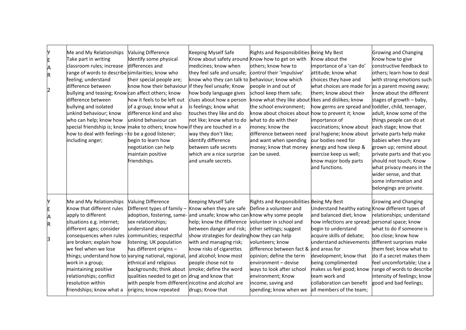| Y<br>E<br>Λ<br>R<br>2           | Me and My Relationships<br>Take part in writing<br>classroom rules; increase<br>range of words to describe similarities; know who<br>feeling; understand<br>difference between<br>bullying and teasing; Know can affect others; know<br>difference between<br>bullying and isolated<br>unkind behaviour; know<br>who can help; know how<br>special friendship is; know make to others; know how if they are touched in a<br>how to deal with feelings - to be a good listener;<br>including anger; | <b>Valuing Difference</b><br>Identify some physical<br>differences and<br>their special people are;<br>know how their behaviour<br>how it feels to be left out<br>of a group; know what a<br>difference kind and also<br>unkind behaviour can<br>begin to learn how<br>negotiation can help<br>maintain positive<br>friendships.                                                                           | Keeping Myself Safe<br>Know about safety around Know how to get on with<br>medicines; know when<br>they feel safe and unsafe;<br>know who they can talk to behaviour; know which<br>if they feel unsafe; Know<br>how body language gives<br>clues about how a person<br>is feelings; know what<br>touches they like and do<br>not like; know what to do<br>way they don't like;<br>identify difference<br>between safe secrets<br>which are a nice surprise<br>and unsafe secrets. | Rights and Responsibilities Being My Best<br>others; know how to<br>control their 'impulsive'<br>people in and out of<br>school keep them safe;<br>know what they like about likes and dislikes; know<br>the school environment;<br>know about choices about how to prevent it; know<br>what to do with their<br>money; know the<br>difference between need<br>and want when spending<br>money; know that money energy and how sleep &<br>can be saved. | Know about the<br>importance of a 'can do'<br>attitude; know what<br>choices they have and<br>what choices are made for as a parent moving away;<br>them; know about their<br>how germs are spread and toddler, child, teenager,<br>importance of<br>vaccinations; know about<br>oral hygiene; know about<br>our bodies need for<br>exercise keep us well;<br>know major body parts<br>and functions. | <b>Growing and Changing</b><br>Know how to give<br>constructive feedback to<br>others; learn how to deal<br>with strong emotions such<br>know about the different<br>stages of growth $-$ baby,<br>adult, know some of the<br>things people can do at<br>each stage; know that<br>private parts help make<br>babies when they are<br>grown up; remind about<br>private parts and that you<br>should not touch; Know<br>what privacy means in the<br>wider sense, and that<br>some information and<br>belongings are private. |
|---------------------------------|----------------------------------------------------------------------------------------------------------------------------------------------------------------------------------------------------------------------------------------------------------------------------------------------------------------------------------------------------------------------------------------------------------------------------------------------------------------------------------------------------|------------------------------------------------------------------------------------------------------------------------------------------------------------------------------------------------------------------------------------------------------------------------------------------------------------------------------------------------------------------------------------------------------------|------------------------------------------------------------------------------------------------------------------------------------------------------------------------------------------------------------------------------------------------------------------------------------------------------------------------------------------------------------------------------------------------------------------------------------------------------------------------------------|---------------------------------------------------------------------------------------------------------------------------------------------------------------------------------------------------------------------------------------------------------------------------------------------------------------------------------------------------------------------------------------------------------------------------------------------------------|-------------------------------------------------------------------------------------------------------------------------------------------------------------------------------------------------------------------------------------------------------------------------------------------------------------------------------------------------------------------------------------------------------|------------------------------------------------------------------------------------------------------------------------------------------------------------------------------------------------------------------------------------------------------------------------------------------------------------------------------------------------------------------------------------------------------------------------------------------------------------------------------------------------------------------------------|
| Y<br>E<br>Α<br>$\mathsf R$<br>3 | Me and My Relationships<br>Know that different rules<br>apply to different<br>situations e.g. internet;<br>different ages; consider<br>consequences when rules<br>are broken; explain how<br>we feel when we lose<br>things; understand how to varying national, regional,<br>work in a group;<br>maintaining positive<br>relationships; conflict<br>resolution within<br>friendships; know what a                                                                                                 | <b>Valuing Difference</b><br>Different types of family -<br>adoption, fostering, same-<br>sex relationships;<br>understand about<br>communities; respectful<br>listening; UK population<br>has different origins -<br>ethnical and religious<br>backgrounds; think about<br>qualities needed to get on drug and know that<br>with people from different nicotine and alcohol are<br>origins; know repeated | Keeping Myself Safe<br>Know when they are safe<br>and unsafe; know who can know why some people<br>help; know the difference volunteer in school and<br>between danger and risk;<br>show strategies for dealinghow they can help<br>with and managing risk;<br>know risks of cigarettes<br>and alcohol; know most<br>people chose not to<br>smoke; define the word<br>drugs; Know that                                                                                             | Rights and Responsibilities Being My Best<br>Define a volunteer and<br>other settings; suggest<br>volunteers; know<br>difference between fact & and areas for<br>opinion; define the term<br>environment - devise<br>ways to look after school<br>environment; Know<br>income, saving and<br>spending; know when we                                                                                                                                     | Understand healthy eating Know different types of<br>and balanced diet; know<br>how infections are spread; personal space; know<br>begin to understand<br>acquire skills of debate;<br>understand achievements different surprises make<br>development; know that<br>being complimented<br>makes us feel good; know<br>team work and<br>collaboration can benefit<br>all members of the team;         | Growing and Changing<br>relationships; understand<br>what to do if someone is<br>too close; know how<br>them feel; know what to<br>do if a secret makes them<br>feel uncomfortable; Use a<br>range of words to describe<br>intensity of feelings; know<br>good and bad feelings;                                                                                                                                                                                                                                             |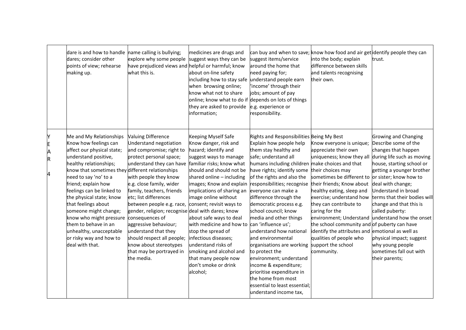|                       | dare is and how to handle name calling is bullying;<br>dares; consider other<br>points of view; rehearse<br>making up.                                                                                                                                                                                                                                                                                                                                                    | explore why some people<br>have prejudiced views and helpful or harmful; know<br>what this is.                                                                                                                                                                                                                                                                                                                                                                                                            | medicines are drugs and<br>suggest ways they can be<br>about on-line safety<br>including how to stay safe<br>when browsing online;<br>know what not to share<br>online; know what to do if depends on lots of things<br>they are asked to provide<br>information;                                                                                                                                                                                                                                                                         | suggest items/service<br>around the home that<br>need paying for;<br>understand people earn<br>'income' through their<br>jobs; amount of pay<br>e.g. experience or<br>responsibility.                                                                                                                                                                                                                                                                                                                                                                                                                                                                              | can buy and when to save; know how food and air get identify people they can<br>into the body; explain<br>difference between skills<br>and talents recognising<br>their own.                                                                                                                                                                                                                                                                                                           | trust.                                                                                                                                                                                                                                                                                                                                                                                                   |
|-----------------------|---------------------------------------------------------------------------------------------------------------------------------------------------------------------------------------------------------------------------------------------------------------------------------------------------------------------------------------------------------------------------------------------------------------------------------------------------------------------------|-----------------------------------------------------------------------------------------------------------------------------------------------------------------------------------------------------------------------------------------------------------------------------------------------------------------------------------------------------------------------------------------------------------------------------------------------------------------------------------------------------------|-------------------------------------------------------------------------------------------------------------------------------------------------------------------------------------------------------------------------------------------------------------------------------------------------------------------------------------------------------------------------------------------------------------------------------------------------------------------------------------------------------------------------------------------|--------------------------------------------------------------------------------------------------------------------------------------------------------------------------------------------------------------------------------------------------------------------------------------------------------------------------------------------------------------------------------------------------------------------------------------------------------------------------------------------------------------------------------------------------------------------------------------------------------------------------------------------------------------------|----------------------------------------------------------------------------------------------------------------------------------------------------------------------------------------------------------------------------------------------------------------------------------------------------------------------------------------------------------------------------------------------------------------------------------------------------------------------------------------|----------------------------------------------------------------------------------------------------------------------------------------------------------------------------------------------------------------------------------------------------------------------------------------------------------------------------------------------------------------------------------------------------------|
| Y<br>E<br>A<br>R<br>4 | Me and My Relationships<br>Know how feelings can<br>affect our physical state;<br>understand positive,<br>healthy relationships;<br>know that sometimes they different relationships<br>need to say 'no' to a<br>friend; explain how<br>feelings can be linked to<br>the physical state; know<br>that feelings about<br>someone might change;<br>know who might pressure<br>them to behave in an<br>unhealthy, unacceptable<br>or risky way and how to<br>deal with that. | <b>Valuing Difference</b><br>Understand negotiation<br>and compromise; right to<br>protect personal space;<br>understand they can have<br>with people they know<br>e.g. close family, wider<br>family, teachers, friends<br>etc; list differences<br>between people e.g. race,<br>gender, religion; recognise deal with dares; know<br>consequences of<br>aggressive behaviour;<br>understand that they<br>should respect all people;<br>know about stereotypes<br>that may be portrayed in<br>the media. | Keeping Myself Safe<br>Know danger, risk and<br>hazard; identify and<br>suggest ways to manage<br>familiar risks; know what<br>should and should not be<br>shared online - including<br>images; Know and explain<br>implications of sharing an<br>image online without<br>consent; revisit ways to<br>about safe ways to deal<br>with medicine and how to can 'influence us';<br>stop the spread of<br>infectious diseases;<br>understand risks of<br>smoking and alcohol and<br>that many people now<br>don't smoke or drink<br>alcohol; | Rights and Responsibilities Being My Best<br>Explain how people help<br>them stay healthy and<br>safe; understand all<br>humans including children make choices and that<br>have rights; identify some<br>of the rights and also the<br>responsibilities; recognise<br>everyone can make a<br>difference through the<br>democratic process e.g.<br>school council; know<br>media and other things<br>understand how national<br>and environmental<br>organisations are working<br>to protect the<br>environment; understand<br>income & expenditure;<br>prioritise expenditure in<br>the home from most<br>essential to least essential;<br>understand income tax, | Know everyone is unique;<br>appreciate their own<br>uniqueness; know they all during life such as moving<br>their choices may<br>sometimes be different to or sister; know how to<br>their friends; Know about<br>healthy eating, sleep and<br>exercise; understand how<br>they can contribute to<br>caring for the<br>the school community and of puberty can have<br>identify the attributes and emotional as well as<br>qualities of people who<br>support the school<br>community. | Growing and Changing<br>Describe some of the<br>changes that happen<br>house, starting school or<br>getting a younger brother<br>deal with change;<br>Understand in broad<br>terms that their bodies will<br>change and that this is<br>called puberty:<br>environment; Understand understand how the onset<br>physical impact; suggest<br>why young people<br>sometimes fall out with<br>their parents; |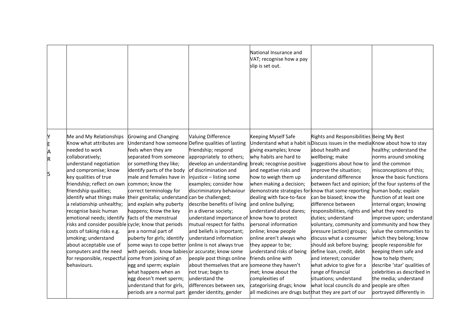|                                                                                                                                                                                                                                                                                                                                                                                                       |                                                                                                                     |                                                                                                                                                                                                                                                                                                                                                                                                                                                                                                                                                                                                                                                         |                                                                                                                                                                                                                                                                                                                                                                                                                                                                                                                                                                                                                                                                                                                                      | National Insurance and<br>VAT; recognise how a pay<br>slip is set out.                                                                                                                                                                                                                                                                                                                                                                                                                                                                                      |                                                                                                                                                                                                                                                                                                                                                                                                                                                                                                                                                                                                                                                                                                                                                                                                                                         |                                                                                                                                                                                                                                                                                                                                                                                                                                                                |
|-------------------------------------------------------------------------------------------------------------------------------------------------------------------------------------------------------------------------------------------------------------------------------------------------------------------------------------------------------------------------------------------------------|---------------------------------------------------------------------------------------------------------------------|---------------------------------------------------------------------------------------------------------------------------------------------------------------------------------------------------------------------------------------------------------------------------------------------------------------------------------------------------------------------------------------------------------------------------------------------------------------------------------------------------------------------------------------------------------------------------------------------------------------------------------------------------------|--------------------------------------------------------------------------------------------------------------------------------------------------------------------------------------------------------------------------------------------------------------------------------------------------------------------------------------------------------------------------------------------------------------------------------------------------------------------------------------------------------------------------------------------------------------------------------------------------------------------------------------------------------------------------------------------------------------------------------------|-------------------------------------------------------------------------------------------------------------------------------------------------------------------------------------------------------------------------------------------------------------------------------------------------------------------------------------------------------------------------------------------------------------------------------------------------------------------------------------------------------------------------------------------------------------|-----------------------------------------------------------------------------------------------------------------------------------------------------------------------------------------------------------------------------------------------------------------------------------------------------------------------------------------------------------------------------------------------------------------------------------------------------------------------------------------------------------------------------------------------------------------------------------------------------------------------------------------------------------------------------------------------------------------------------------------------------------------------------------------------------------------------------------------|----------------------------------------------------------------------------------------------------------------------------------------------------------------------------------------------------------------------------------------------------------------------------------------------------------------------------------------------------------------------------------------------------------------------------------------------------------------|
|                                                                                                                                                                                                                                                                                                                                                                                                       |                                                                                                                     |                                                                                                                                                                                                                                                                                                                                                                                                                                                                                                                                                                                                                                                         |                                                                                                                                                                                                                                                                                                                                                                                                                                                                                                                                                                                                                                                                                                                                      |                                                                                                                                                                                                                                                                                                                                                                                                                                                                                                                                                             |                                                                                                                                                                                                                                                                                                                                                                                                                                                                                                                                                                                                                                                                                                                                                                                                                                         |                                                                                                                                                                                                                                                                                                                                                                                                                                                                |
| Me and My Relationships<br>Y<br>Know what attributes are<br>E<br>needed to work<br>A<br>collaboratively;<br>R<br>understand negotiation<br>and compromise; know<br>5<br>key qualities of true<br>friendship qualities;<br>a relationship unhealthy;<br>recognise basic human<br>costs of taking risks e.g.<br>smoking; understand<br>about acceptable use of<br>computers and the need<br>behaviours. | friendship; reflect on own<br>identify what things make<br>emotional needs; identify<br>for responsible, respectful | Growing and Changing<br>feels when they are<br>separated from someone<br>or something they like;<br>identify parts of the body<br>male and females have in<br>common; know the<br>correct terminology for<br>their genitalia; understand can be challenged;<br>and explain why puberty<br>happens; Know the key<br>facts of the menstrual<br>risks and consider possible cycle; know that periods<br>are a normal part of<br>puberty for girls; identify<br>some ways to cope better<br>come from joining of an<br>egg and sperm; explain<br>what happens when an<br>egg doesn't meet sperm;<br>understand that for girls,<br>periods are a normal part | <b>Valuing Difference</b><br>Understand how someone Define qualities of lasting<br>friendship; respond<br>appropriately to others;<br>develop an understanding<br>of discrimination and<br>injustice - listing some<br>examples; consider how<br>discriminatory behaviour<br>describe benefits of living<br>in a diverse society;<br>understand importance of know how to protect<br>mutual respect for faiths<br>and beliefs is important;<br>understand information<br>online is not always true<br>with periods. know babies or accurate; know some<br>people post things online<br>about themselves that are someone they haven't<br>not true; begin to<br>understand the<br>differences between sex,<br>gender identity, gender | <b>Keeping Myself Safe</b><br>giving examples; know<br>why habits are hard to<br>break; recognise positive<br>and negative risks and<br>how to weigh them up<br>when making a decision;<br>dealing with face-to-face<br>and online bullying;<br>understand about dares;<br>personal information<br>online; know people<br>online aren't always who<br>they appear to be;<br>understand risks of being<br>friends online with<br>met; know about the<br>complexities of<br>categorising drugs; know<br>all medicines are drugs but that they are part of our | Rights and Responsibilities Being My Best<br>Understand what a habit is Discuss issues in the media Know about how to stay<br>about health and<br>wellbeing; make<br>suggestions about how to<br>improve the situation;<br>understand difference<br>between fact and opinion; of the four systems of the<br>demonstrate strategies for know that some reporting human body; explain<br>can be biased; know the<br>difference between<br>responsibilities, rights and what they need to<br>duties; understand<br>voluntary, community and community and how they<br>pressure (action) groups;<br>discuss what a consumer<br>should ask before buying;<br>define loan, credit, debt<br>and interest; consider<br>what advice to give for a<br>range of financial<br>situations; understand<br>what local councils do and people are often | healthy; understand the<br>norms around smoking<br>and the common<br>misconceptions of this;<br>know the basic functions<br>function of at least one<br>internal organ; knowing<br>improve upon; understand<br>value the communities to<br>which they belong; know<br>people responsible for<br>keeping them safe and<br>how to help them;<br>describe 'star' qualities of<br>celebrities as described in<br>the media; understand<br>portrayed differently in |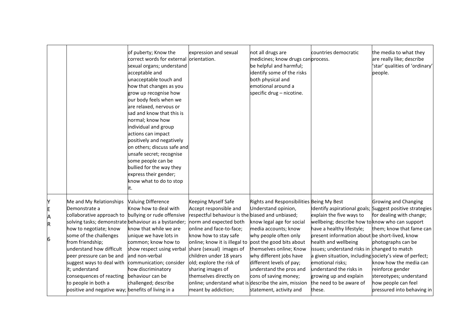|                       |                                                                                                                                                                                                                                                                                                                                                                                                                       | of puberty; Know the<br>correct words for external orientation.<br>sexual organs; understand<br>acceptable and<br>unacceptable touch and<br>how that changes as you<br>grow up recognise how<br>our body feels when we<br>are relaxed, nervous or<br>sad and know that this is<br>normal; know how<br>individual and group<br>actions can impact<br>positively and negatively<br>on others; discuss safe and<br>unsafe secret; recognise<br>some people can be<br>bullied for the way they<br>express their gender;<br>know what to do to stop<br>it. | expression and sexual                                                                                                                                                                                                                                                                                                                                                                                                              | not all drugs are<br>medicines; know drugs canprocess.<br>be helpful and harmful;<br>identify some of the risks<br>both physical and<br>emotional around a<br>specific drug - nicotine.                                                                                                                                                     | countries democratic                                                                                                                                                                                                                                                                                                                                                                                        | the media to what they<br>are really like; describe<br>'star' qualities of 'ordinary'<br>people.                                                                                                                                                                                                    |
|-----------------------|-----------------------------------------------------------------------------------------------------------------------------------------------------------------------------------------------------------------------------------------------------------------------------------------------------------------------------------------------------------------------------------------------------------------------|-------------------------------------------------------------------------------------------------------------------------------------------------------------------------------------------------------------------------------------------------------------------------------------------------------------------------------------------------------------------------------------------------------------------------------------------------------------------------------------------------------------------------------------------------------|------------------------------------------------------------------------------------------------------------------------------------------------------------------------------------------------------------------------------------------------------------------------------------------------------------------------------------------------------------------------------------------------------------------------------------|---------------------------------------------------------------------------------------------------------------------------------------------------------------------------------------------------------------------------------------------------------------------------------------------------------------------------------------------|-------------------------------------------------------------------------------------------------------------------------------------------------------------------------------------------------------------------------------------------------------------------------------------------------------------------------------------------------------------------------------------------------------------|-----------------------------------------------------------------------------------------------------------------------------------------------------------------------------------------------------------------------------------------------------------------------------------------------------|
| Y<br>E<br>A<br>R<br>6 | Me and My Relationships<br>Demonstrate a<br>collaborative approach to<br>solving tasks; demonstrate behaviour as a bystander;<br>how to negotiate; know<br>some of the challenges<br>from friendship;<br>understand how difficult<br>peer pressure can be and<br>suggest ways to deal with<br>it; understand<br>consequences of reacting<br>to people in both a<br>positive and negative way; benefits of living in a | <b>Valuing Difference</b><br>Know how to deal with<br>bullying or rude offensive<br>know that while we are<br>unique we have lots in<br>common; know how to<br>show respect using verbal<br>and non-verbal<br>communication; consider<br>how discriminatory<br>behaviour can be<br>challenged; describe                                                                                                                                                                                                                                               | Keeping Myself Safe<br>Accept responsible and<br>respectful behaviour is the biased and unbiased;<br>norm and expected both<br>online and face-to-face;<br>know how to stay safe<br>online; know it is illegal to<br>share (sexual) images of<br>children under 18 years<br>old; explore the risk of<br>sharing images of<br>themselves directly on<br>online; understand what is describe the aim, mission<br>meant by addiction; | Rights and Responsibilities Being My Best<br>Understand opinion,<br>know legal age for social<br>media accounts; know<br>why people often only<br>post the good bits about<br>themselves online; Know<br>why different jobs have<br>different levels of pay;<br>understand the pros and<br>cons of saving money;<br>statement, activity and | explain the five ways to<br>wellbeing; describe how to know who can support<br>have a healthy lifestyle;<br>present information about be short-lived, know<br>health and wellbeing<br>issues; understand risks in changed to match<br>a given situation, including society's view of perfect;<br>emotional risks;<br>understand the risks in<br>growing up and explain<br>the need to be aware of<br>these. | <b>Growing and Changing</b><br>Identify aspirational goals; Suggest positive strategies<br>for dealing with change;<br>them; know that fame can<br>photographs can be<br>know how the media can<br>reinforce gender<br>stereotypes; understand<br>how people can feel<br>pressured into behaving in |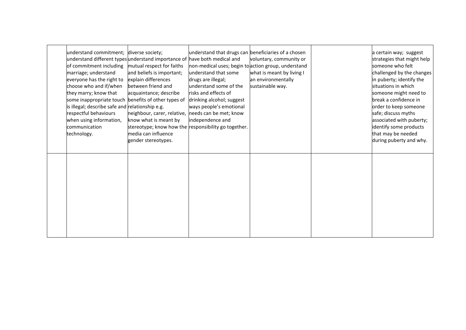| understand commitment; diverse society;             | understand different types understand importance of have both medical and | understand that drugs can beneficiaries of a chosen | voluntary, community or   | a certain way; suggest<br>strategies that might help |
|-----------------------------------------------------|---------------------------------------------------------------------------|-----------------------------------------------------|---------------------------|------------------------------------------------------|
| of commitment including                             | mutual respect for faiths                                                 | non-medical uses; begin to action group, understand |                           | someone who felt                                     |
| marriage; understand                                | and beliefs is important;                                                 | understand that some                                | what is meant by living I | challenged by the changes                            |
| everyone has the right to                           | explain differences                                                       | drugs are illegal;                                  | an environmentally        | in puberty; identify the                             |
| choose who and if/when                              | between friend and                                                        | understand some of the                              | sustainable way.          | situations in which                                  |
| they marry; know that                               | acquaintance; describe                                                    | risks and effects of                                |                           | someone might need to                                |
| some inappropriate touch benefits of other types of |                                                                           | drinking alcohol; suggest                           |                           | break a confidence in                                |
| is illegal; describe safe and relationship e.g.     |                                                                           | ways people's emotional                             |                           | order to keep someone                                |
| respectful behaviours                               | neighbour, carer, relative, needs can be met; know                        |                                                     |                           | safe; discuss myths                                  |
| when using information,                             | know what is meant by                                                     | independence and                                    |                           | associated with puberty;                             |
| communication                                       | stereotype; know how the responsibility go together.                      |                                                     |                           | identify some products                               |
| technology.                                         | media can influence                                                       |                                                     |                           | that may be needed                                   |
|                                                     | gender stereotypes.                                                       |                                                     |                           | during puberty and why.                              |
|                                                     |                                                                           |                                                     |                           |                                                      |
|                                                     |                                                                           |                                                     |                           |                                                      |
|                                                     |                                                                           |                                                     |                           |                                                      |
|                                                     |                                                                           |                                                     |                           |                                                      |
|                                                     |                                                                           |                                                     |                           |                                                      |
|                                                     |                                                                           |                                                     |                           |                                                      |
|                                                     |                                                                           |                                                     |                           |                                                      |
|                                                     |                                                                           |                                                     |                           |                                                      |
|                                                     |                                                                           |                                                     |                           |                                                      |
|                                                     |                                                                           |                                                     |                           |                                                      |
|                                                     |                                                                           |                                                     |                           |                                                      |
|                                                     |                                                                           |                                                     |                           |                                                      |
|                                                     |                                                                           |                                                     |                           |                                                      |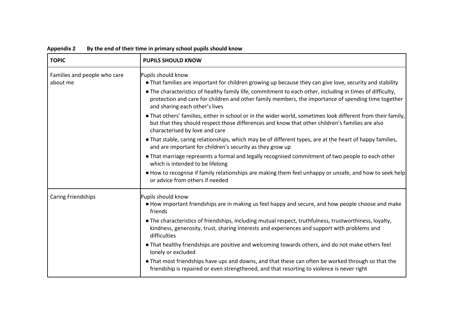| <b>TOPIC</b>                             | <b>PUPILS SHOULD KNOW</b>                                                                                                                                                                                                                                                                                                                                                            |
|------------------------------------------|--------------------------------------------------------------------------------------------------------------------------------------------------------------------------------------------------------------------------------------------------------------------------------------------------------------------------------------------------------------------------------------|
| Families and people who care<br>about me | Pupils should know<br>• That families are important for children growing up because they can give love, security and stability<br>• The characteristics of healthy family life, commitment to each other, including in times of difficulty,<br>protection and care for children and other family members, the importance of spending time together<br>and sharing each other's lives |
|                                          | • That others' families, either in school or in the wider world, sometimes look different from their family,<br>but that they should respect those differences and know that other children's families are also<br>characterised by love and care                                                                                                                                    |
|                                          | • That stable, caring relationships, which may be of different types, are at the heart of happy families,<br>and are important for children's security as they grow up                                                                                                                                                                                                               |
|                                          | • That marriage represents a formal and legally recognised commitment of two people to each other<br>which is intended to be lifelong                                                                                                                                                                                                                                                |
|                                          | • How to recognise if family relationships are making them feel unhappy or unsafe, and how to seek help<br>or advice from others if needed                                                                                                                                                                                                                                           |
| <b>Caring Friendships</b>                | Pupils should know<br>• How important friendships are in making us feel happy and secure, and how people choose and make<br>friends                                                                                                                                                                                                                                                  |
|                                          | • The characteristics of friendships, including mutual respect, truthfulness, trustworthiness, loyalty,<br>kindness, generosity, trust, sharing interests and experiences and support with problems and<br>difficulties                                                                                                                                                              |
|                                          | • That healthy friendships are positive and welcoming towards others, and do not make others feel<br>lonely or excluded                                                                                                                                                                                                                                                              |
|                                          | • That most friendships have ups and downs, and that these can often be worked through so that the<br>friendship is repaired or even strengthened, and that resorting to violence is never right                                                                                                                                                                                     |

**Appendix 2 By the end of their time in primary school pupils should know**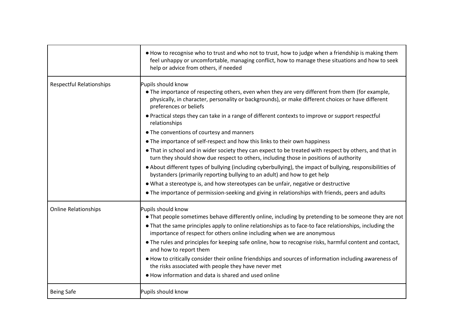|                                 | . How to recognise who to trust and who not to trust, how to judge when a friendship is making them<br>feel unhappy or uncomfortable, managing conflict, how to manage these situations and how to seek<br>help or advice from others, if needed                                                                                                                                                                                                                                                                                                                                                                                                                                                                                                                                                                                                                                                                                                                                                                                                                                                   |
|---------------------------------|----------------------------------------------------------------------------------------------------------------------------------------------------------------------------------------------------------------------------------------------------------------------------------------------------------------------------------------------------------------------------------------------------------------------------------------------------------------------------------------------------------------------------------------------------------------------------------------------------------------------------------------------------------------------------------------------------------------------------------------------------------------------------------------------------------------------------------------------------------------------------------------------------------------------------------------------------------------------------------------------------------------------------------------------------------------------------------------------------|
| <b>Respectful Relationships</b> | Pupils should know<br>• The importance of respecting others, even when they are very different from them (for example,<br>physically, in character, personality or backgrounds), or make different choices or have different<br>preferences or beliefs<br>• Practical steps they can take in a range of different contexts to improve or support respectful<br>relationships<br>• The conventions of courtesy and manners<br>• The importance of self-respect and how this links to their own happiness<br>• That in school and in wider society they can expect to be treated with respect by others, and that in<br>turn they should show due respect to others, including those in positions of authority<br>. About different types of bullying (including cyberbullying), the impact of bullying, responsibilities of<br>bystanders (primarily reporting bullying to an adult) and how to get help<br>. What a stereotype is, and how stereotypes can be unfair, negative or destructive<br>• The importance of permission-seeking and giving in relationships with friends, peers and adults |
| <b>Online Relationships</b>     | Pupils should know<br>• That people sometimes behave differently online, including by pretending to be someone they are not<br>• That the same principles apply to online relationships as to face-to face relationships, including the<br>importance of respect for others online including when we are anonymous<br>• The rules and principles for keeping safe online, how to recognise risks, harmful content and contact,<br>and how to report them<br>. How to critically consider their online friendships and sources of information including awareness of<br>the risks associated with people they have never met<br>. How information and data is shared and used online                                                                                                                                                                                                                                                                                                                                                                                                                |
| <b>Being Safe</b>               | Pupils should know                                                                                                                                                                                                                                                                                                                                                                                                                                                                                                                                                                                                                                                                                                                                                                                                                                                                                                                                                                                                                                                                                 |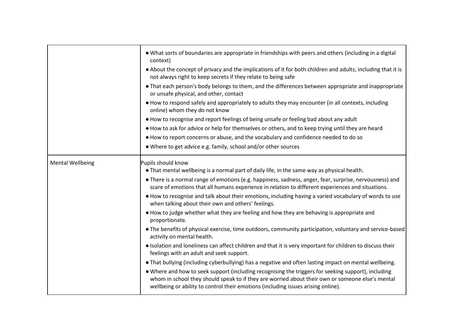|                         | • What sorts of boundaries are appropriate in friendships with peers and others (including in a digital<br>context)<br>• About the concept of privacy and the implications of it for both children and adults; including that it is                                                          |
|-------------------------|----------------------------------------------------------------------------------------------------------------------------------------------------------------------------------------------------------------------------------------------------------------------------------------------|
|                         | not always right to keep secrets if they relate to being safe                                                                                                                                                                                                                                |
|                         | • That each person's body belongs to them, and the differences between appropriate and inappropriate<br>or unsafe physical, and other, contact                                                                                                                                               |
|                         | • How to respond safely and appropriately to adults they may encounter (in all contexts, including<br>online) whom they do not know                                                                                                                                                          |
|                         | • How to recognise and report feelings of being unsafe or feeling bad about any adult                                                                                                                                                                                                        |
|                         | • How to ask for advice or help for themselves or others, and to keep trying until they are heard                                                                                                                                                                                            |
|                         | . How to report concerns or abuse, and the vocabulary and confidence needed to do so                                                                                                                                                                                                         |
|                         | • Where to get advice e.g. family, school and/or other sources                                                                                                                                                                                                                               |
| <b>Mental Wellbeing</b> | Pupils should know                                                                                                                                                                                                                                                                           |
|                         | . That mental wellbeing is a normal part of daily life, in the same way as physical health.                                                                                                                                                                                                  |
|                         | • There is a normal range of emotions (e.g. happiness, sadness, anger, fear, surprise, nervousness) and<br>scare of emotions that all humans experience in relation to different experiences and situations.                                                                                 |
|                         | . How to recognise and talk about their emotions, including having a varied vocabulary of words to use<br>when talking about their own and others' feelings.                                                                                                                                 |
|                         | • How to judge whether what they are feeling and how they are behaving is appropriate and<br>proportionate.                                                                                                                                                                                  |
|                         | • The benefits of physical exercise, time outdoors, community participation, voluntary and service-based<br>activity on mental health.                                                                                                                                                       |
|                         | • Isolation and loneliness can affect children and that it is very important for children to discuss their<br>feelings with an adult and seek support.                                                                                                                                       |
|                         | • That bullying (including cyberbullying) has a negative and often lasting impact on mental wellbeing.                                                                                                                                                                                       |
|                         | • Where and how to seek support (including recognising the triggers for seeking support), including<br>whom in school they should speak to if they are worried about their own or someone else's mental<br>wellbeing or ability to control their emotions (including issues arising online). |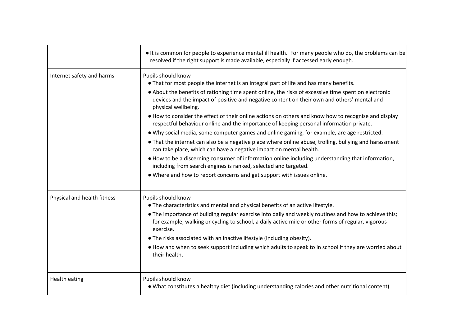|                             | If is common for people to experience mental ill health. For many people who do, the problems can be<br>resolved if the right support is made available, especially if accessed early enough.                                                                                                                                                                                                                                                                                                                                                                                                                                                                                                                                                                                                                                                                                                                                                                                                                                                                                  |
|-----------------------------|--------------------------------------------------------------------------------------------------------------------------------------------------------------------------------------------------------------------------------------------------------------------------------------------------------------------------------------------------------------------------------------------------------------------------------------------------------------------------------------------------------------------------------------------------------------------------------------------------------------------------------------------------------------------------------------------------------------------------------------------------------------------------------------------------------------------------------------------------------------------------------------------------------------------------------------------------------------------------------------------------------------------------------------------------------------------------------|
| Internet safety and harms   | Pupils should know<br>• That for most people the internet is an integral part of life and has many benefits.<br>• About the benefits of rationing time spent online, the risks of excessive time spent on electronic<br>devices and the impact of positive and negative content on their own and others' mental and<br>physical wellbeing.<br>• How to consider the effect of their online actions on others and know how to recognise and display<br>respectful behaviour online and the importance of keeping personal information private.<br>. Why social media, some computer games and online gaming, for example, are age restricted.<br>• That the internet can also be a negative place where online abuse, trolling, bullying and harassment<br>can take place, which can have a negative impact on mental health.<br>• How to be a discerning consumer of information online including understanding that information,<br>including from search engines is ranked, selected and targeted.<br>• Where and how to report concerns and get support with issues online. |
| Physical and health fitness | Pupils should know<br>• The characteristics and mental and physical benefits of an active lifestyle.<br>• The importance of building regular exercise into daily and weekly routines and how to achieve this;<br>for example, walking or cycling to school, a daily active mile or other forms of regular, vigorous<br>exercise.<br>• The risks associated with an inactive lifestyle (including obesity).<br>. How and when to seek support including which adults to speak to in school if they are worried about<br>their health.                                                                                                                                                                                                                                                                                                                                                                                                                                                                                                                                           |
| <b>Health eating</b>        | Pupils should know<br>. What constitutes a healthy diet (including understanding calories and other nutritional content).                                                                                                                                                                                                                                                                                                                                                                                                                                                                                                                                                                                                                                                                                                                                                                                                                                                                                                                                                      |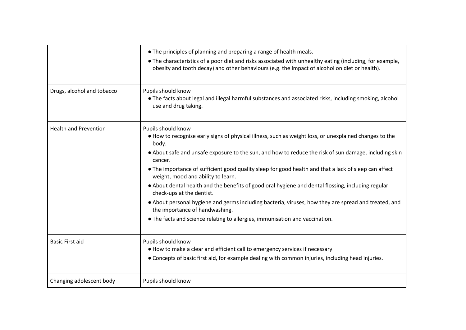|                              | • The principles of planning and preparing a range of health meals.<br>• The characteristics of a poor diet and risks associated with unhealthy eating (including, for example,<br>obesity and tooth decay) and other behaviours (e.g. the impact of alcohol on diet or health).                                                                                                                                                                                                                                                                                                                                                                                                                                                                                      |
|------------------------------|-----------------------------------------------------------------------------------------------------------------------------------------------------------------------------------------------------------------------------------------------------------------------------------------------------------------------------------------------------------------------------------------------------------------------------------------------------------------------------------------------------------------------------------------------------------------------------------------------------------------------------------------------------------------------------------------------------------------------------------------------------------------------|
| Drugs, alcohol and tobacco   | Pupils should know<br>• The facts about legal and illegal harmful substances and associated risks, including smoking, alcohol<br>use and drug taking.                                                                                                                                                                                                                                                                                                                                                                                                                                                                                                                                                                                                                 |
| <b>Health and Prevention</b> | Pupils should know<br>. How to recognise early signs of physical illness, such as weight loss, or unexplained changes to the<br>body.<br>• About safe and unsafe exposure to the sun, and how to reduce the risk of sun damage, including skin<br>cancer.<br>• The importance of sufficient good quality sleep for good health and that a lack of sleep can affect<br>weight, mood and ability to learn.<br>. About dental health and the benefits of good oral hygiene and dental flossing, including regular<br>check-ups at the dentist.<br>• About personal hygiene and germs including bacteria, viruses, how they are spread and treated, and<br>the importance of handwashing.<br>• The facts and science relating to allergies, immunisation and vaccination. |
| <b>Basic First aid</b>       | Pupils should know<br>• How to make a clear and efficient call to emergency services if necessary.<br>• Concepts of basic first aid, for example dealing with common injuries, including head injuries.                                                                                                                                                                                                                                                                                                                                                                                                                                                                                                                                                               |
| Changing adolescent body     | Pupils should know                                                                                                                                                                                                                                                                                                                                                                                                                                                                                                                                                                                                                                                                                                                                                    |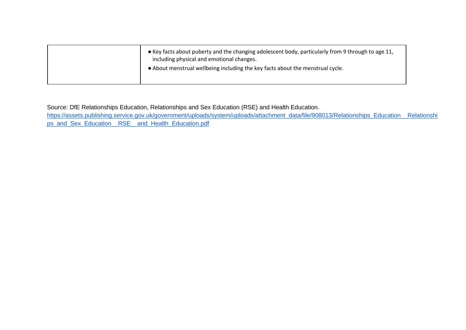| • Key facts about puberty and the changing adolescent body, particularly from 9 through to age 11,<br>including physical and emotional changes. |  |
|-------------------------------------------------------------------------------------------------------------------------------------------------|--|
| • About menstrual wellbeing including the key facts about the menstrual cycle.                                                                  |  |

Source: DfE Relationships Education, Relationships and Sex Education (RSE) and Health Education.

[https://assets.publishing.service.gov.uk/government/uploads/system/uploads/attachment\\_data/file/908013/Relationships\\_Education\\_\\_Relationshi](https://assets.publishing.service.gov.uk/government/uploads/system/uploads/attachment_data/file/908013/Relationships_Education__Relationships_and_Sex_Education__RSE__and_Health_Education.pdf) [ps\\_and\\_Sex\\_Education\\_\\_RSE\\_\\_and\\_Health\\_Education.pdf](https://assets.publishing.service.gov.uk/government/uploads/system/uploads/attachment_data/file/908013/Relationships_Education__Relationships_and_Sex_Education__RSE__and_Health_Education.pdf)